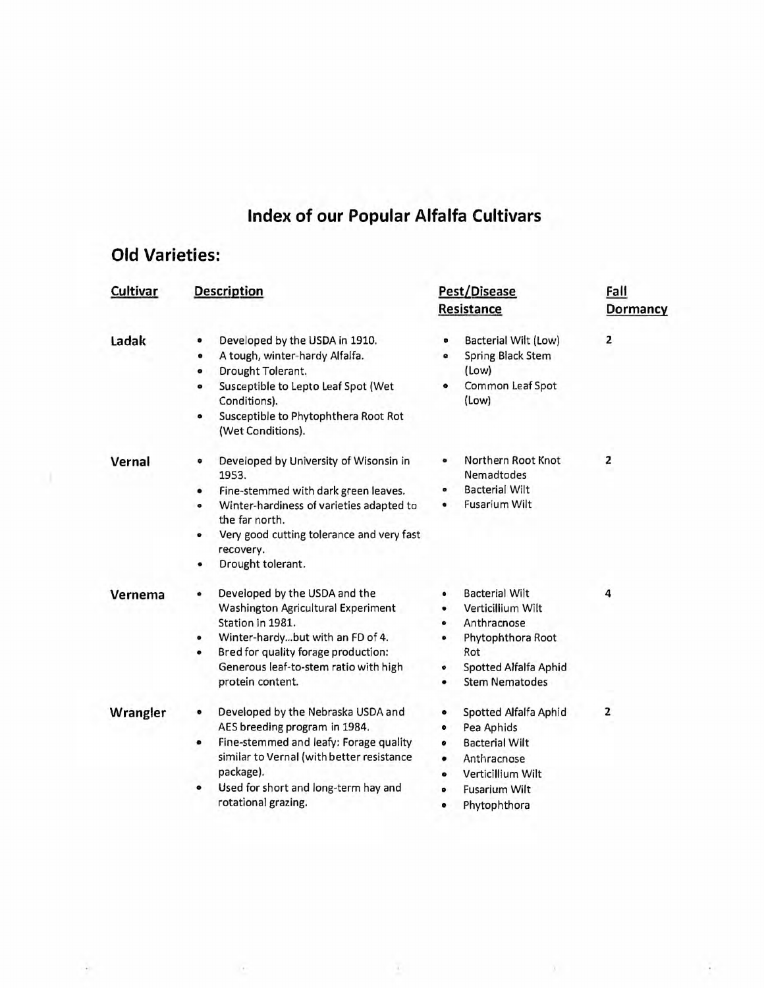## **Index of our Popular Alfalfa Cultivars**

## **Old Varieties:**

 $\alpha$ 

÷

| <b>Cultivar</b> | <b>Description</b>                                                                                                                                                                                                                                            | Pest/Disease<br><b>Resistance</b>                                                                                                                                               | Fall<br><b>Dormancy</b> |
|-----------------|---------------------------------------------------------------------------------------------------------------------------------------------------------------------------------------------------------------------------------------------------------------|---------------------------------------------------------------------------------------------------------------------------------------------------------------------------------|-------------------------|
| Ladak           | Developed by the USDA in 1910.<br>۰<br>A tough, winter-hardy Alfalfa.<br>$\bullet$<br>Drought Tolerant.<br>۰<br>Susceptible to Lepto Leaf Spot (Wet<br>۰<br>Conditions).<br>Susceptible to Phytophthera Root Rot<br>۰<br>(Wet Conditions).                    | Bacterial Wilt (Low)<br>۰<br>Spring Black Stem<br>$\bullet$<br>(Low)<br>Common Leaf Spot<br>۰<br>(Low)                                                                          | $\overline{2}$          |
| Vernal          | Developed by University of Wisonsin in<br>۰<br>1953.<br>Fine-stemmed with dark green leaves.<br>۰<br>Winter-hardiness of varieties adapted to<br>۰<br>the far north.<br>Very good cutting tolerance and very fast<br>۰<br>recovery.<br>Drought tolerant.<br>٠ | Northern Root Knot<br>o<br><b>Nemadtodes</b><br><b>Bacterial Wilt</b><br>۰<br>Fusarium Wilt<br>۰                                                                                | $\overline{2}$          |
| Vernema         | Developed by the USDA and the<br>۰<br><b>Washington Agricultural Experiment</b><br>Station in 1981.<br>Winter-hardybut with an FD of 4.<br>۰<br>Bred for quality forage production:<br>۰<br>Generous leaf-to-stem ratio with high<br>protein content.         | <b>Bacterial Wilt</b><br>۰<br>Verticillium Wilt<br>٠<br>Anthracnose<br>$\bullet$<br>Phytophthora Root<br>۰<br>Rot<br><b>Spotted Alfalfa Aphid</b><br>۰<br><b>Stem Nematodes</b> | 4                       |
| Wrangler        | Developed by the Nebraska USDA and<br>۰<br>AES breeding program in 1984.<br>Fine-stemmed and leafy: Forage quality<br>۰<br>similar to Vernal (with better resistance<br>package).<br>Used for short and long-term hay and<br>۰<br>rotational grazing.         | Spotted Alfalfa Aphid<br>۰<br>Pea Aphids<br>۰<br><b>Bacterial Wilt</b><br>۰<br>Anthracnose<br>Verticillium Wilt<br>۰<br><b>Fusarium Wilt</b><br>۰<br>Phytophthora<br>۰          | $\overline{z}$          |

 $\bar{a}$ 

 $\lambda$  .

Ŧ.